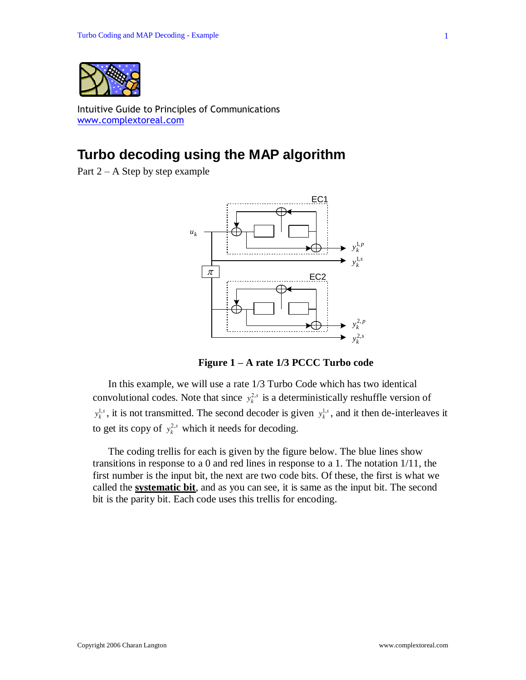

Intuitive Guide to Principles of Communications [www.complextoreal.com](http://www.complextoreal.com/)

# **Turbo decoding using the MAP algorithm**

Part  $2 - A$  Step by step example



**Figure 1 – A rate 1/3 PCCC Turbo code**

In this example, we will use a rate 1/3 Turbo Code which has two identical convolutional codes. Note that since  $y_k^{2,s}$  is a deterministically reshuffle version of  $y_k^{1,s}$ , it is not transmitted. The second decoder is given  $y_k^{1,s}$ , and it then de-interleaves it to get its copy of  $y_k^{2,s}$  which it needs for decoding.

The coding trellis for each is given by the figure below. The blue lines show transitions in response to a 0 and red lines in response to a 1. The notation 1/11, the first number is the input bit, the next are two code bits. Of these, the first is what we called the **systematic bit**, and as you can see, it is same as the input bit. The second bit is the parity bit. Each code uses this trellis for encoding.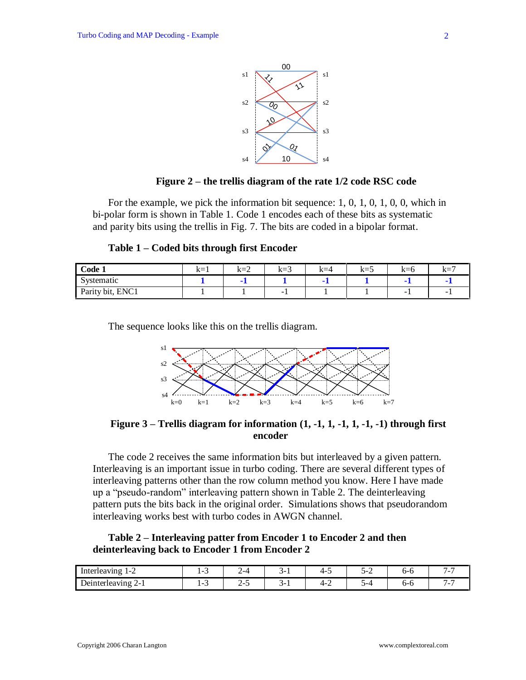

### **Figure 2 – the trellis diagram of the rate 1/2 code RSC code**

For the example, we pick the information bit sequence: 1, 0, 1, 0, 1, 0, 0, which in bi-polar form is shown in Table 1. Code 1 encodes each of these bits as systematic and parity bits using the trellis in Fig. 7. The bits are coded in a bipolar format.

| Code $\blacksquare$  | $k=1$ | $k=2$ | $\sim$<br>$k=3$ | $k=4$ | $k=5$ | $\sim -6$<br>1. L | $k =$ |
|----------------------|-------|-------|-----------------|-------|-------|-------------------|-------|
| $\sim$<br>Systematic |       |       |                 |       |       |                   |       |
| Parity bit, ENC1     |       |       | -               |       |       | -                 | -     |

The sequence looks like this on the trellis diagram.



**Figure 3 – Trellis diagram for information (1, -1, 1, -1, 1, -1, -1) through first encoder**

The code 2 receives the same information bits but interleaved by a given pattern. Interleaving is an important issue in turbo coding. There are several different types of interleaving patterns other than the row column method you know. Here I have made up a "pseudo-random" interleaving pattern shown in Table 2. The deinterleaving pattern puts the bits back in the original order. Simulations shows that pseudorandom interleaving works best with turbo codes in AWGN channel.

**Table 2 – Interleaving patter from Encoder 1 to Encoder 2 and then deinterleaving back to Encoder 1 from Encoder 2**

| -<br>Interleaving<br>$\sim$<br>$\overline{\phantom{a}}$<br>∽ | $\overline{\phantom{a}}$<br>. . |   | `-<br>ຼ       | <u>—</u><br>. . | ٠.<br>- | --           | $\overline{\phantom{0}}$<br>- |
|--------------------------------------------------------------|---------------------------------|---|---------------|-----------------|---------|--------------|-------------------------------|
| $\overline{\phantom{a}}$<br>Jeinterleaving<br>. Z= 1<br>~    | $\overline{\phantom{a}}$        | - | $\rightarrow$ | <u>_</u><br>-   |         | .<br>$\cdot$ | -                             |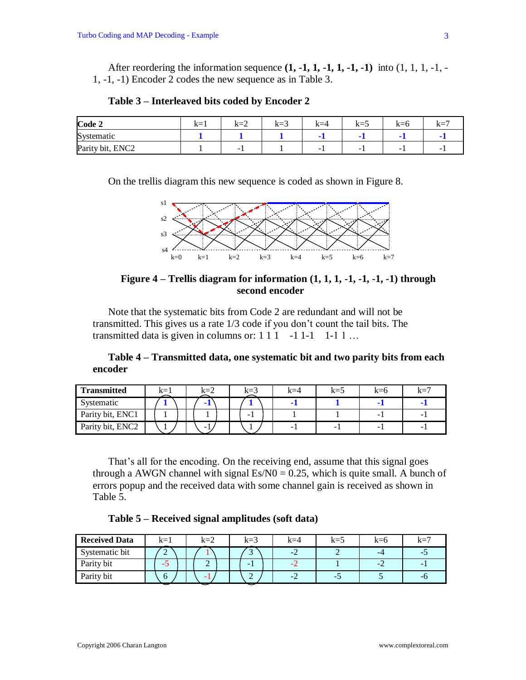After reordering the information sequence **(1, -1, 1, -1, 1, -1, -1)** into (1, 1, 1, -1, - 1, -1, -1) Encoder 2 codes the new sequence as in Table 3.

| Code 2                          | $k=1$ | $k=2$ | $\sim$<br>$k=3$ | $k=4$ | $k=5$                    | $k=6$                    | $k=7$                    |
|---------------------------------|-------|-------|-----------------|-------|--------------------------|--------------------------|--------------------------|
| $\sim$<br>Systematic            |       |       |                 |       |                          |                          |                          |
| ENC <sub>2</sub><br>Parity bit, |       | -     |                 | -     | $\overline{\phantom{a}}$ | $\overline{\phantom{a}}$ | $\overline{\phantom{a}}$ |

**Table 3 – Interleaved bits coded by Encoder 2**

On the trellis diagram this new sequence is coded as shown in Figure 8.



**Figure 4 – Trellis diagram for information (1, 1, 1, -1, -1, -1, -1) through second encoder**

Note that the systematic bits from Code 2 are redundant and will not be transmitted. This gives us a rate 1/3 code if you don't count the tail bits. The transmitted data is given in columns or:  $1 \ 1 \ 1 \ -1 \ 1 \ -1 \ 1 \ 1 \ldots$ 

**Table 4 – Transmitted data, one systematic bit and two parity bits from each encoder**

| <b>Transmitted</b> | $k=1$ |  | $k=2$ |  | $k=3$ | $k=4$ | $k = 5$ | K=0 | $k = 7$ |
|--------------------|-------|--|-------|--|-------|-------|---------|-----|---------|
| Systematic         |       |  | . .   |  |       |       |         |     | . .     |
| Parity bit, ENC1   |       |  |       |  | -     |       |         |     | -       |
| Parity bit, ENC2   |       |  | -     |  |       | -     | -       |     | - 1     |

That's all for the encoding. On the receiving end, assume that this signal goes through a AWGN channel with signal  $Es/N0 = 0.25$ , which is quite small. A bunch of errors popup and the received data with some channel gain is received as shown in Table 5.

| Table 5 – Received signal amplitudes (soft data) |
|--------------------------------------------------|
|--------------------------------------------------|

| <b>Received Data</b> | $k=1$  | $k=2$ | $k=3$                    | $k=4$     | $k=5$ | $k=0$ | $k=7$ |
|----------------------|--------|-------|--------------------------|-----------|-------|-------|-------|
| Systematic bit       | ⌒<br>∠ |       | $\overline{\phantom{0}}$ | $-L$      |       |       |       |
| Parity bit           |        |       | -                        | $ \prime$ |       |       |       |
| Parity bit           | n      | - 1   | ∠                        | $-2$      | -     |       | -с.   |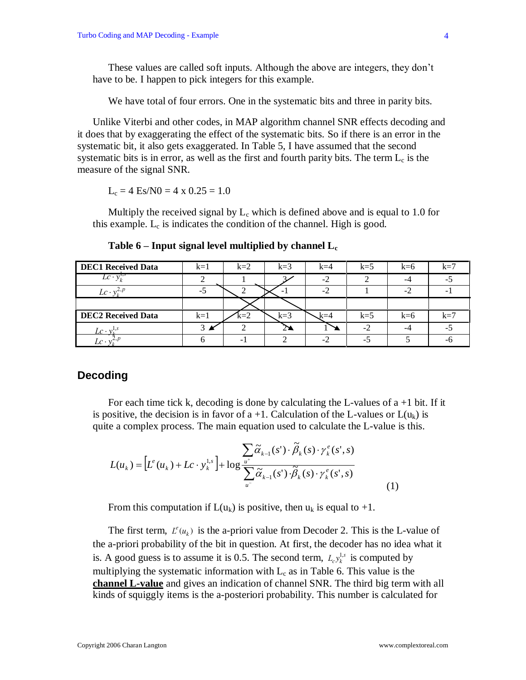These values are called soft inputs. Although the above are integers, they don't have to be. I happen to pick integers for this example.

We have total of four errors. One in the systematic bits and three in parity bits.

Unlike Viterbi and other codes, in MAP algorithm channel SNR effects decoding and it does that by exaggerating the effect of the systematic bits. So if there is an error in the systematic bit, it also gets exaggerated. In Table 5, I have assumed that the second systematic bits is in error, as well as the first and fourth parity bits. The term  $L_c$  is the measure of the signal SNR.

 $L_c = 4$  Es/N0 = 4 x 0.25 = 1.0

Multiply the received signal by  $L_c$  which is defined above and is equal to 1.0 for this example.  $L_c$  is indicates the condition of the channel. High is good.

| <b>DEC1</b> Received Data | $k=1$ | $k=2$ | $k=3$ | $k=4$ | $k=5$ | $k=6$ | $k=7$ |
|---------------------------|-------|-------|-------|-------|-------|-------|-------|
| $Lc \cdot y_k^{1,s}$      |       |       |       | $-2$  |       |       | -5    |
| $Lc \cdot y_L^{2,1}$      | -5    |       |       |       |       | -7    | ۰.    |
|                           |       |       |       |       |       |       |       |
| <b>DEC2 Received Data</b> | $k=1$ | $k=2$ | $k=3$ | k=4   | $k=5$ | $k=6$ | $k=7$ |
| Lc · vi                   | 3     |       | 77    |       | $-2$  |       | -5    |
| $Lc \cdot y$              |       | - 1   |       | $-2$  | -7    |       | -n    |

**Table 6 – Input signal level multiplied by channel L<sup>c</sup>**

### **Decoding**

For each time tick k, decoding is done by calculating the L-values of  $a + 1$  bit. If it is positive, the decision is in favor of  $a + 1$ . Calculation of the L-values or  $L(u_k)$  is quite a complex process. The main equation used to calculate the L-value is this.

$$
L(u_k) = \left[L^e(u_k) + Lc \cdot y_k^{1,s}\right] + \log \frac{\sum_{u^*} \widetilde{\alpha}_{k-1}(s') \cdot \widetilde{\beta}_k(s) \cdot \gamma_k^e(s',s)}{\sum_{u^-} \widetilde{\alpha}_{k-1}(s') \cdot \widetilde{\beta}_k(s) \cdot \gamma_k^e(s',s)}
$$
(1)

From this computation if  $L(u_k)$  is positive, then  $u_k$  is equal to +1.

The first term,  $L^e(u_k)$  is the a-priori value from Decoder 2. This is the L-value of the a-priori probability of the bit in question. At first, the decoder has no idea what it is. A good guess is to assume it is 0.5. The second term,  $L_c y_k^{1,s}$  is computed by multiplying the systematic information with  $L_c$  as in Table 6. This value is the **channel L-value** and gives an indication of channel SNR. The third big term with all kinds of squiggly items is the a-posteriori probability. This number is calculated for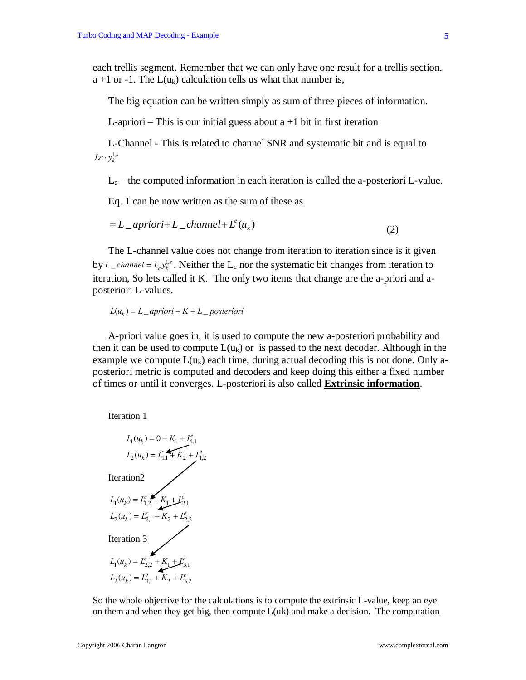each trellis segment. Remember that we can only have one result for a trellis section, a +1 or -1. The  $L(u_k)$  calculation tells us what that number is,

The big equation can be written simply as sum of three pieces of information.

L-apriori – This is our initial guess about  $a + 1$  bit in first iteration

L-Channel - This is related to channel SNR and systematic bit and is equal to  $Lc \cdot y_k^{1,s}$ 

 $L<sub>e</sub>$  – the computed information in each iteration is called the a-posteriori L-value.

Eq. 1 can be now written as the sum of these as

$$
=L_{\text{}}\underline{apriori} + L_{\text{}}\underline{channel} + L^{e}(u_{k})
$$
\n<sup>(2)</sup>

The L-channel value does not change from iteration to iteration since is it given by  $L_{c}$ *channel* =  $L_{c}y_{k}^{1,s}$ . Neither the  $L_{c}$  nor the systematic bit changes from iteration to iteration, So lets called it K. The only two items that change are the a-priori and aposteriori L-values.

 $L(u_k) = L_{\perp}$ apriori + K +  $L_{\perp}$  posteriori

A-priori value goes in, it is used to compute the new a-posteriori probability and then it can be used to compute  $L(u_k)$  or is passed to the next decoder. Although in the example we compute  $L(u_k)$  each time, during actual decoding this is not done. Only aposteriori metric is computed and decoders and keep doing this either a fixed number of times or until it converges. L-posteriori is also called **Extrinsic information**.

Iteration 1



So the whole objective for the calculations is to compute the extrinsic L-value, keep an eye on them and when they get big, then compute  $L(uk)$  and make a decision. The computation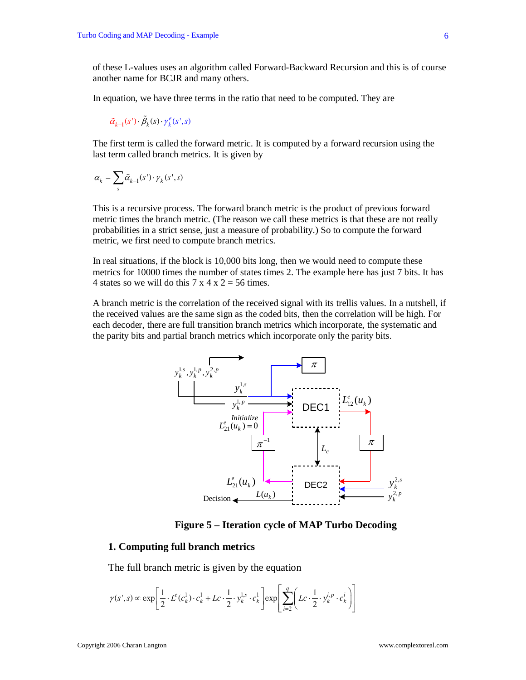of these L-values uses an algorithm called Forward-Backward Recursion and this is of course another name for BCJR and many others.

In equation, we have three terms in the ratio that need to be computed. They are

 $\tilde{\alpha}_{k-1}(s') \cdot \tilde{\beta}_k(s) \cdot \gamma_k^e(s', s)$ 

The first term is called the forward metric. It is computed by a forward recursion using the last term called branch metrics. It is given by

$$
\alpha_k = \sum_s \tilde{\alpha}_{k-1}(s') \cdot \gamma_k(s', s)
$$

This is a recursive process. The forward branch metric is the product of previous forward metric times the branch metric. (The reason we call these metrics is that these are not really probabilities in a strict sense, just a measure of probability.) So to compute the forward metric, we first need to compute branch metrics.

In real situations, if the block is 10,000 bits long, then we would need to compute these metrics for 10000 times the number of states times 2. The example here has just 7 bits. It has 4 states so we will do this  $7 \times 4 \times 2 = 56$  times.

A branch metric is the correlation of the received signal with its trellis values. In a nutshell, if the received values are the same sign as the coded bits, then the correlation will be high. For each decoder, there are full transition branch metrics which incorporate, the systematic and the parity bits and partial branch metrics which incorporate only the parity bits.



**Figure 5 – Iteration cycle of MAP Turbo Decoding**

#### **1. Computing full branch metrics**

The full branch metric is given by the equation  
\n
$$
\gamma(s',s) \propto \exp\left[\frac{1}{2} \cdot L^e(c_k^1) \cdot c_k^1 + Lc \cdot \frac{1}{2} \cdot y_k^{1,s} \cdot c_k^1\right] \exp\left[\sum_{i=2}^q \left(Lc \cdot \frac{1}{2} \cdot y_k^{i,p} \cdot c_k^i\right)\right]
$$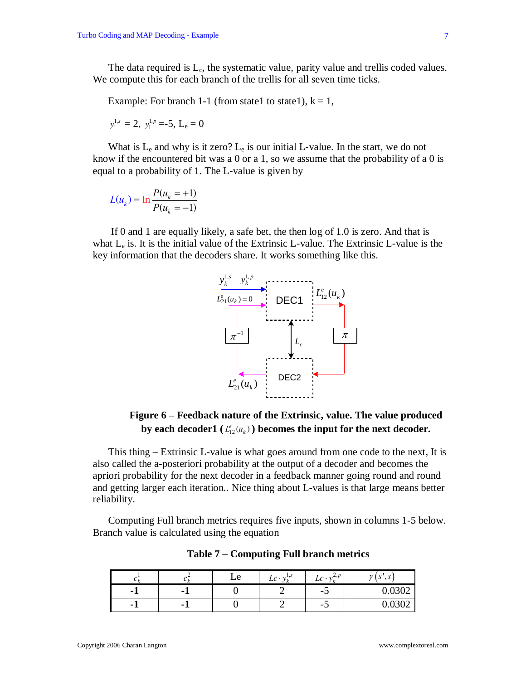The data required is  $L_c$ , the systematic value, parity value and trellis coded values. We compute this for each branch of the trellis for all seven time ticks.

Example: For branch 1-1 (from state1 to state1),  $k = 1$ ,

$$
y_1^{1,s}=2, y_1^{1,p} = -5, L_e = 0
$$

What is  $L_e$  and why is it zero?  $L_e$  is our initial L-value. In the start, we do not know if the encountered bit was a 0 or a 1, so we assume that the probability of a 0 is equal to a probability of 1. The L-value is given by

$$
L(u_k) = \ln \frac{P(u_k = +1)}{P(u_k = -1)}
$$

If 0 and 1 are equally likely, a safe bet, the then log of 1.0 is zero. And that is what  $L_e$  is. It is the initial value of the Extrinsic L-value. The Extrinsic L-value is the key information that the decoders share. It works something like this.



## **Figure 6 – Feedback nature of the Extrinsic, value. The value produced**  by each decoder1  $(L_{12}^e(u_k))$  becomes the input for the next decoder.

This thing – Extrinsic L-value is what goes around from one code to the next, It is also called the a-posteriori probability at the output of a decoder and becomes the apriori probability for the next decoder in a feedback manner going round and round and getting larger each iteration.. Nice thing about L-values is that large means better reliability.

Computing Full branch metrics requires five inputs, shown in columns 1-5 below. Branch value is calculated using the equation

| $\mathcal{L}$ 1. | ັ | $\Delta$ | v<br>LC | $\boldsymbol{r}$<br>,∠,µ<br>Lc<br>$\cdot$ | $\mathbf{C}$<br>$\gamma$<br>$\mathbf{C}$<br>- പ<br>دن |
|------------------|---|----------|---------|-------------------------------------------|-------------------------------------------------------|
| $\blacksquare$   |   |          |         | - -                                       | $\sim$<br>$\mathsf{v}\mathsf{v}\mathsf{v}$            |
| $\blacksquare$   |   |          |         | - -                                       | $\mathsf{v}\mathsf{v}\mathsf{v}$                      |

**Table 7 – Computing Full branch metrics**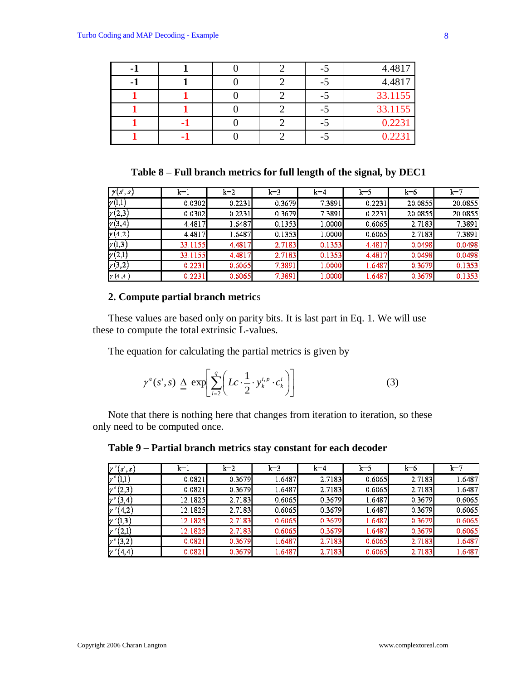| - 1 |   |  |                          | 4.4817  |
|-----|---|--|--------------------------|---------|
| - 1 |   |  | $\overline{\phantom{0}}$ | 4.4817  |
|     |   |  |                          | 33.1155 |
|     |   |  | $\overline{\phantom{0}}$ | 33.1155 |
|     | ٠ |  | $\overline{\phantom{0}}$ | 0.2231  |
|     |   |  |                          | 0.2231  |

**Table 8 – Full branch metrics for full length of the signal, by DEC1**

| $\gamma(s,s)$ | $k=1$   | $k=2$  | $k=3$  | $k=4$  | $k=5$  | $k=6$   | $k=7$   |
|---------------|---------|--------|--------|--------|--------|---------|---------|
| $\nu(1,1)$    | 0.0302  | 0.2231 | 0.3679 | 7.3891 | 0.2231 | 20.0855 | 20.0855 |
| $\gamma(2,3)$ | 0.0302  | 0.2231 | 0.3679 | 7.3891 | 0.2231 | 20.0855 | 20.0855 |
| y(3,4)        | 4.4817  | 1.6487 | 0.1353 | 1.0000 | 0.6065 | 2.7183  | 7.3891  |
| y(4,2)        | 4.4817  | 1.6487 | 0.1353 | 1.0000 | 0.6065 | 2.7183  | 7.3891  |
| y(1,3)        | 33.1155 | 4.4817 | 2.7183 | 0.1353 | 4.4817 | 0.0498  | 0.0498  |
| $\gamma(2,1)$ | 33.1155 | 4.4817 | 2.7183 | 0.1353 | 4.4817 | 0.0498  | 0.0498  |
| $\gamma(3,2)$ | 0.2231  | 0.6065 | 7.3891 | 1.0000 | 1.6487 | 0.3679  | 0.1353  |
| y(4,4)        | 0.2231  | 0.6065 | 7.3891 | 1.0000 | 1.6487 | 0.3679  | 0.1353  |

### **2. Compute partial branch metric**s

These values are based only on parity bits. It is last part in Eq. 1. We will use these to compute the total extrinsic L-values.

The equation for calculating the partial metrics is given by

$$
\gamma^e(s', s) \triangleq \exp\left[\sum_{i=2}^q \left(Lc \cdot \frac{1}{2} \cdot y_k^{i, p} \cdot c_k^i\right)\right]
$$
(3)

Note that there is nothing here that changes from iteration to iteration, so these only need to be computed once.

**Table 9 – Partial branch metrics stay constant for each decoder**

| $\gamma^{\circ}(s^{\prime},s^{\prime}% )=\gamma^{\circ}(s^{\prime},s^{\prime})=\gamma^{\circ}(s^{\prime},s^{\prime})$ | $k=1$   | $k=2$  | $k=3$  | $k=4$  | $k=5$  | $k=6$  | $k=7$  |
|-----------------------------------------------------------------------------------------------------------------------|---------|--------|--------|--------|--------|--------|--------|
| $\gamma^{\epsilon}(1,1)$                                                                                              | 0.0821  | 0.3679 | 1.6487 | 2.7183 | 0.6065 | 2.7183 | 1.6487 |
| $y^*(2,3)$                                                                                                            | 0.0821  | 0.3679 | 1.6487 | 2.7183 | 0.6065 | 2.7183 | 1.6487 |
| $y^*(3,4)$                                                                                                            | 12.1825 | 2.7183 | 0.6065 | 0.3679 | 1.6487 | 0.3679 | 0.6065 |
| $\gamma^{(4,2)}$                                                                                                      | 12.1825 | 2.7183 | 0.6065 | 0.3679 | 1.6487 | 0.3679 | 0.6065 |
| $\gamma^{\circ}(1,3)$                                                                                                 | 12.1825 | 2.7183 | 0.6065 | 0.3679 | 1.6487 | 0.3679 | 0.6065 |
| $\gamma^{\circ}(2,1)$                                                                                                 | 12.1825 | 2.7183 | 0.6065 | 0.3679 | 1.6487 | 0.3679 | 0.6065 |
| $y^*(3,2)$                                                                                                            | 0.0821  | 0.3679 | 1.6487 | 2.7183 | 0.6065 | 2.7183 | 1.6487 |
| $\gamma^*(4,4)$                                                                                                       | 0.0821  | 0.3679 | 1.6487 | 2.7183 | 0.6065 | 2.7183 | 1.6487 |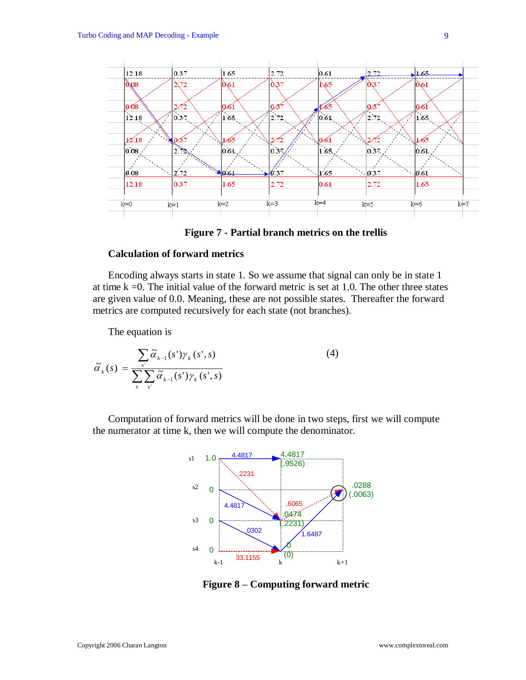



#### **Calculation of forward metrics**

Encoding always starts in state 1. So we assume that signal can only be in state 1 at time  $k = 0$ . The initial value of the forward metric is set at 1.0. The other three states are given value of 0.0. Meaning, these are not possible states. Thereafter the forward metrics are computed recursively for each state (not branches).

The equation is

$$
\tilde{\alpha}_{k}(s) = \frac{\sum_{s'} \tilde{\alpha}_{k-1}(s') \gamma_{k}(s', s)}{\sum_{s} \sum_{s'} \tilde{\alpha}_{k-1}(s') \gamma_{k}(s', s)}
$$
(4)

Computation of forward metrics will be done in two steps, first we will compute the numerator at time k, then we will compute the denominator.



**Figure 8 – Computing forward metric**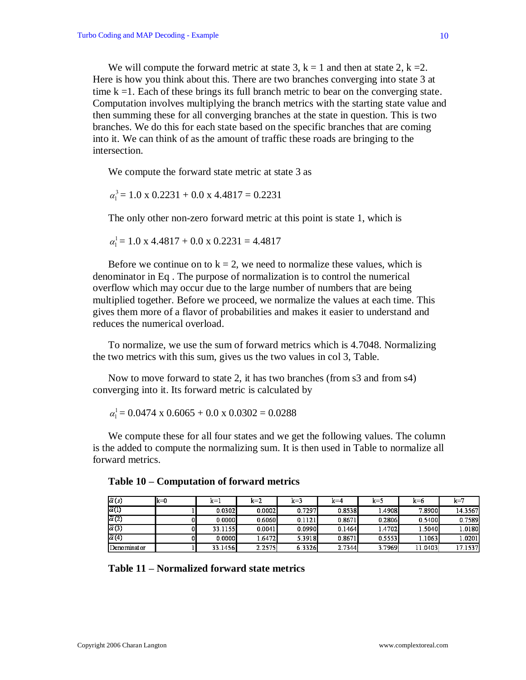We will compute the forward metric at state 3,  $k = 1$  and then at state 2,  $k = 2$ . Here is how you think about this. There are two branches converging into state 3 at time  $k = 1$ . Each of these brings its full branch metric to bear on the converging state. Computation involves multiplying the branch metrics with the starting state value and then summing these for all converging branches at the state in question. This is two branches. We do this for each state based on the specific branches that are coming into it. We can think of as the amount of traffic these roads are bringing to the intersection.

We compute the forward state metric at state 3 as

$$
\alpha_1^3 = 1.0 \times 0.2231 + 0.0 \times 4.4817 = 0.2231
$$

The only other non-zero forward metric at this point is state 1, which is

$$
\alpha_1^1 = 1.0 \times 4.4817 + 0.0 \times 0.2231 = 4.4817
$$

Before we continue on to  $k = 2$ , we need to normalize these values, which is denominator in Eq . The purpose of normalization is to control the numerical overflow which may occur due to the large number of numbers that are being multiplied together. Before we proceed, we normalize the values at each time. This gives them more of a flavor of probabilities and makes it easier to understand and reduces the numerical overload.

To normalize, we use the sum of forward metrics which is 4.7048. Normalizing the two metrics with this sum, gives us the two values in col 3, Table.

Now to move forward to state 2, it has two branches (from s3 and from s4) converging into it. Its forward metric is calculated by

 $\alpha_1^1 = 0.0474 \times 0.6065 + 0.0 \times 0.0302 = 0.0288$ 

We compute these for all four states and we get the following values. The column is the added to compute the normalizing sum. It is then used in Table to normalize all forward metrics.

| $\tilde{\alpha}(s)$ | k≓0 | k=1     | $k=2$    | $k=3$     | $k = 4$ | $k = 5$ | k=6     | $k=7$   |
|---------------------|-----|---------|----------|-----------|---------|---------|---------|---------|
| $\tilde{\alpha}(1)$ |     | 0.0302  | 0.0002   | 0.7297    | 0.8538  | 1.4908  | 7.8900  | 14.3567 |
| $\tilde{\alpha}(2)$ |     | 0.0000  | 0.6060   | 0.1121    | 0.8671  | 0.2806  | 0.5400  | 0.7589  |
| $\tilde{\alpha}(3)$ |     | 33.1155 | 0.0041   | 0.09901   | 0.1464  | 1.4702  | 1.5040  | 1.0180  |
| $\tilde{\alpha}(4)$ |     | 0.0000  | ا6472. ، | 5 3 9 1 8 | 0.8671  | 0.5553  | 1.1063  | 1.02011 |
| Denominat or        |     | 33.1456 | 2.2575   | 6.3326    | 2.7344  | 3.7969  | 11.0403 | 17.1537 |

**Table 11 – Normalized forward state metrics**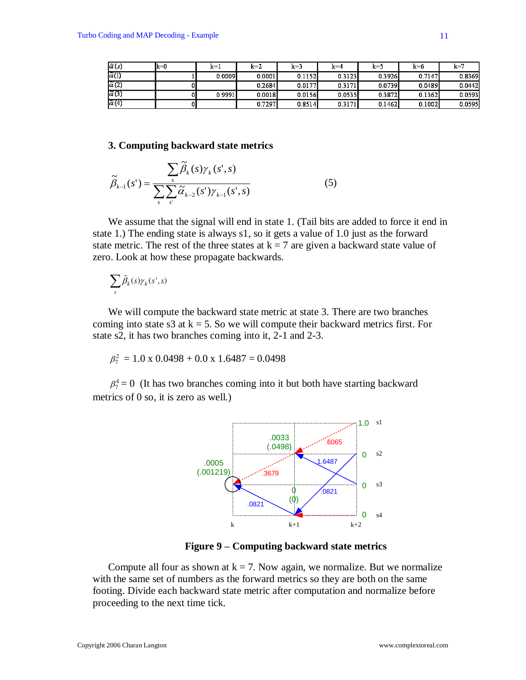| $\tilde{\alpha}(s)$ | lk≔0 | $k = 1$ | $k=2$  | k=3    | $k=4$  | k=5    | $k = 6$ | k=     |
|---------------------|------|---------|--------|--------|--------|--------|---------|--------|
| $\tilde{\alpha}(1)$ |      | 0.0009  | 0.0001 | 0.1152 | 0.3123 | 0.3926 | 0.7147  | 0.8369 |
| $\tilde{\alpha}(2)$ |      |         | 0.2684 | 0.0177 | 0.3171 | 0.0739 | 0.0489  | 0.0442 |
| $\tilde{\alpha}(3)$ |      | 0.9991  | 0.0018 | 0.0156 | 0.0535 | 0.3872 | 0.1362  | 0.0593 |
| $\tilde{\alpha}(4)$ |      |         | 0.7297 | 0.8514 | 0.3171 | 0.1462 | 0.1002  | 0.0595 |

#### **3. Computing backward state metrics**

$$
\widetilde{\beta}_{k-1}(s') = \frac{\sum_{s} \widetilde{\beta}_{k}(s) \gamma_{k}(s', s)}{\sum_{s} \sum_{s'} \widetilde{\alpha}_{k-2}(s') \gamma_{k-1}(s', s)}
$$
(5)

We assume that the signal will end in state 1. (Tail bits are added to force it end in state 1.) The ending state is always s1, so it gets a value of 1.0 just as the forward state metric. The rest of the three states at  $k = 7$  are given a backward state value of zero. Look at how these propagate backwards.

$$
\sum_{s} \tilde{\beta}_k(s) \gamma_k(s',s)
$$

We will compute the backward state metric at state 3. There are two branches coming into state s3 at  $k = 5$ . So we will compute their backward metrics first. For state s2, it has two branches coming into it, 2-1 and 2-3.

$$
\beta_7^2 = 1.0 \times 0.0498 + 0.0 \times 1.6487 = 0.0498
$$

 $\beta_7^4 = 0$  (It has two branches coming into it but both have starting backward metrics of 0 so, it is zero as well.)



**Figure 9 – Computing backward state metrics**

Compute all four as shown at  $k = 7$ . Now again, we normalize. But we normalize with the same set of numbers as the forward metrics so they are both on the same footing. Divide each backward state metric after computation and normalize before proceeding to the next time tick.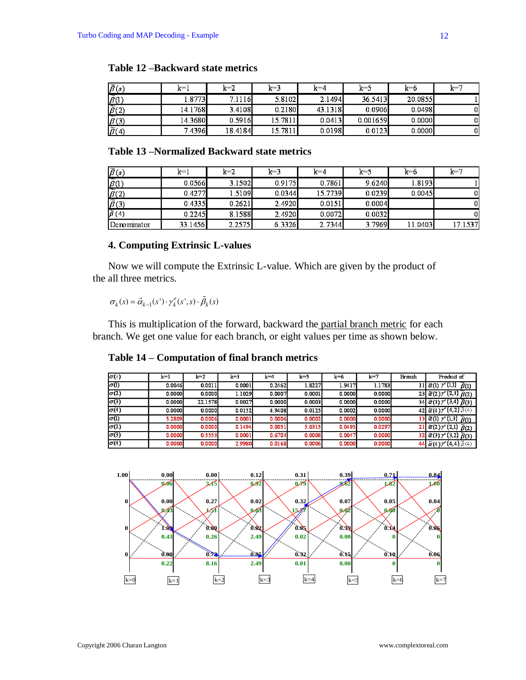| $\widetilde{\beta}(s)$     | $k=1$            | $k=2$   | $k=3$   | $k=4$   | $k=5$    | k=6     | $k = 7$ |
|----------------------------|------------------|---------|---------|---------|----------|---------|---------|
| $\sim$<br>$\beta$ (1)      | 1.8773           | 7.11161 | 5.8102  | 2.1494  | 36.5413  | 20 0855 |         |
| l<br>$\overline{\beta}(2)$ | 14.1768 <b>I</b> | 3.4108  | 0.2180  | 43.1318 | 0.0906   | 0.0498  |         |
| --<br>$\beta(3)$           | 14.36801         | 0.5916  | 15.7811 | 0.0413  | 0.001659 | 0.0000  |         |
| $\widetilde{\beta}(4)$     | 7.4396           | 18.4184 | 15.7811 | 0.0198  | 0.0123   | 0.0000  |         |

### **Table 12 –Backward state metrics**

### **Table 13 –Normalized Backward state metrics**

| $\widetilde{\beta}(s)$ | $k=1$   | $k=2$  | $k=3$  | $k = 4$ | $k = 5$ | $k=6$    | $k=7$   |
|------------------------|---------|--------|--------|---------|---------|----------|---------|
| $\beta$ <sup>(1)</sup> | 0.0566  | 3.1502 | 0.9175 | 0.7861  | 9.6240  | 1.81931  |         |
| $\overline{\beta(2)}$  | 0.4277  | 1.5109 | 0.0344 | 15.7739 | 0.0239  | 0.0045   | 0       |
| $\widetilde{\beta}(3)$ | 0.4335  | 0.2621 | 2.4920 | 0.0151  | 0.0004  |          | 0       |
| $\widetilde{\beta}(4)$ | 0.2245  | 8.1588 | 2.4920 | 0.0072  | 0.0032  |          | 0       |
| Denominator            | 33.1456 | 2.2575 | 6.3326 | 2.7344  | 3.7969  | 11.04031 | 17.1537 |

### **4. Computing Extrinsic L-values**

Now we will compute the Extrinsic L-value. Which are given by the product of the all three metrics.

 $\sigma_k(s) = \tilde{\alpha}_{k-1}(s') \cdot \gamma_k^e(s', s) \cdot \tilde{\beta}_k(s)$ 

This is multiplication of the forward, backward the partial branch metric for each branch. We get one value for each branch, or eight values per time as shown below.

### **Table 14 – Computation of final branch metrics**

| $\sigma(s)$ | k=1     | k=2     | k=3    | $k=4$  | $k=5$  | k=6    | $k=7$  | Branch | Product of                                                                     |
|-------------|---------|---------|--------|--------|--------|--------|--------|--------|--------------------------------------------------------------------------------|
| $\sigma(1)$ | 0.0046  | 0.0011  | 0.0001 | 0.2462 | 1.8227 | 1.9417 | 1.1783 |        | 11 $\tilde{\alpha}(1)$ $\gamma^e(1,1)$ $\tilde{\beta}(1)$                      |
| $\sigma(2)$ | 0.00001 | 0.0000  | 1.1029 | 0.0007 | 0.0001 | 0.0000 | 0.0000 |        | $\overline{23}$ $\tilde{\alpha}(2)\overline{\gamma}^e(2,3)$ $\tilde{\beta}(2)$ |
| $\sigma(3)$ | 0.00001 | 22.1578 | 0.0027 | 0.0000 | 0.0003 | 0.0000 | 0.0000 |        | 34 $\tilde{\alpha}(3)$ $\gamma$ <sup>c</sup> (3,4) $\tilde{\beta}(3)$          |
| $\sigma(4)$ | 0.00001 | 0.0000  | 0.0152 | 4.9408 | 0.0125 | 0.0002 | 0.0000 |        | 42 $\tilde{\alpha}(4)$ $\gamma^{\circ}(4,2)$ $\beta(4)$                        |
| $\sigma(1)$ | 5.2809  | 0.0006  | 0.0001 | 0.0006 | 0.0002 | 0.0000 | 0.0000 |        | 13 $\tilde{\alpha}(1)$ $\gamma^{e}(1,3)$ $\tilde{\beta}(1)$                    |
| $\sigma(2)$ | 0.0000  | 0.0000  | 0.1494 | 0.0051 | 5.0315 | 0.0495 | 0.0297 |        | 21 $\tilde{\alpha}(2)$ $\gamma^*(2,1)$ $\tilde{\beta}(2)$                      |
| $\sigma(3)$ | 0.0000  | 0.5553  | 0.0001 | 0.6703 | 0.0008 | 0.0047 | 0.0000 |        | $32 \tilde{a}(3)$ $\gamma$ <sup>c</sup> (3,2) $\tilde{b}(3)$                   |
| $\sigma(4)$ | 0.0000  | 0.0000  | 2.9980 | 0.0168 | 0.0006 | 0.0000 | 0.0000 |        | 44 $\tilde{\alpha}(4)$ $\gamma^*(4,4)$ $\tilde{\beta}(4)$                      |

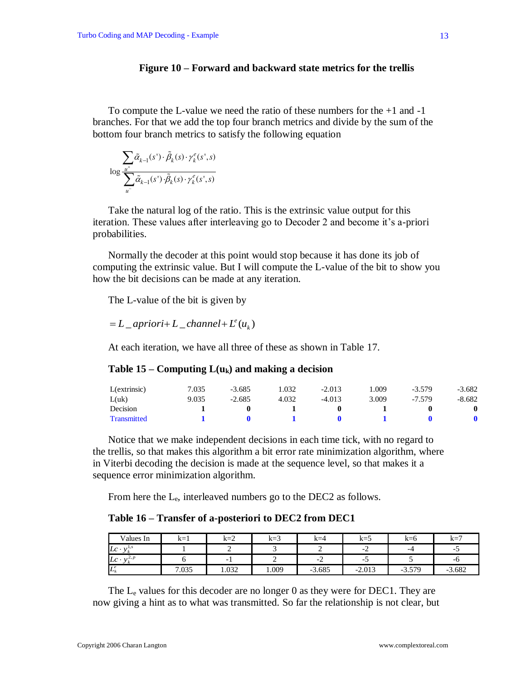### **Figure 10 – Forward and backward state metrics for the trellis**

To compute the L-value we need the ratio of these numbers for the +1 and -1 branches. For that we add the top four branch metrics and divide by the sum of the bottom four branch metrics to satisfy the following equation

$$
\log \frac{\sum_{u^+} \tilde{\alpha}_{k-1}(s') \cdot \tilde{\beta}_k(s) \cdot \gamma_k^e(s', s)}{\sum_{u^-} \tilde{\alpha}_{k-1}(s') \cdot \tilde{\beta}_k(s) \cdot \gamma_k^e(s', s)}
$$

Take the natural log of the ratio. This is the extrinsic value output for this iteration. These values after interleaving go to Decoder 2 and become it's a-priori probabilities.

Normally the decoder at this point would stop because it has done its job of computing the extrinsic value. But I will compute the L-value of the bit to show you how the bit decisions can be made at any iteration.

The L-value of the bit is given by

 $=L$ <sub>-</sub>apriori+L<sub>-</sub>channel+L<sup>e</sup>(u<sub>k</sub>)</sub>

At each iteration, we have all three of these as shown in Table 17.

### **Table 15 – Computing**  $L(u_k)$  **and making a decision**

| L(extrinsic)       | '.035 | $-3.685$ | .032  | $-2.013$ | .009  | $-3.579$ | $-3.682$ |
|--------------------|-------|----------|-------|----------|-------|----------|----------|
| L(uk)              | 9.035 | $-2.685$ | 4.032 | $-4.013$ | 3.009 | $-7.579$ | $-8.682$ |
| Decision           |       |          |       |          |       |          |          |
| <b>Transmitted</b> |       |          |       |          |       |          |          |

Notice that we make independent decisions in each time tick, with no regard to the trellis, so that makes this algorithm a bit error rate minimization algorithm, where in Viterbi decoding the decision is made at the sequence level, so that makes it a sequence error minimization algorithm.

From here the L<sub>e</sub>, interleaved numbers go to the DEC2 as follows.

#### **Table 16 – Transfer of a-posteriori to DEC2 from DEC1**

| Values In                      | $k=1$ | $k=2$                    | $k=3$ | $k=4$        | $k=5$                    | $k=6$    | $k=7$    |
|--------------------------------|-------|--------------------------|-------|--------------|--------------------------|----------|----------|
| $Lc \cdot$                     |       |                          |       |              | $\sim$ $\lambda$         | -4       |          |
| $\mathcal{L}, P$<br>$Lc \cdot$ |       | $\overline{\phantom{0}}$ |       | $\sim$<br>-4 | $\overline{\phantom{a}}$ |          | -0       |
| $L^e_{\iota}$                  | 7.035 | 0.032                    | 0.009 | $-3.685$     | $-2.013$                 | $-3.579$ | $-3.682$ |

The  $L<sub>e</sub>$  values for this decoder are no longer 0 as they were for DEC1. They are now giving a hint as to what was transmitted. So far the relationship is not clear, but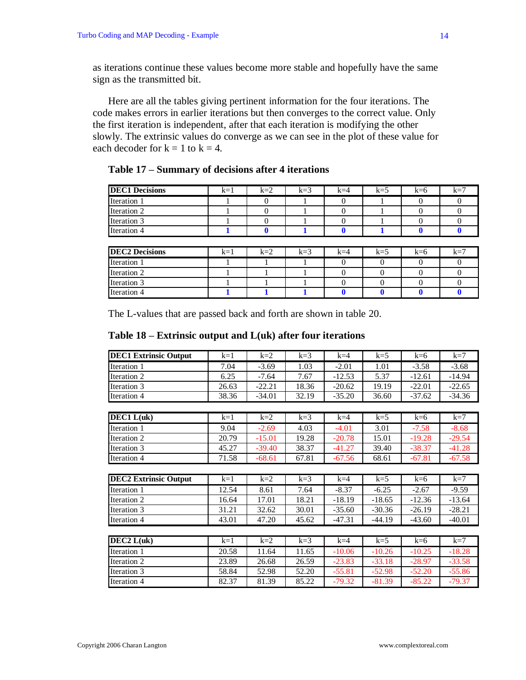as iterations continue these values become more stable and hopefully have the same sign as the transmitted bit.

Here are all the tables giving pertinent information for the four iterations. The code makes errors in earlier iterations but then converges to the correct value. Only the first iteration is independent, after that each iteration is modifying the other slowly. The extrinsic values do converge as we can see in the plot of these value for each decoder for  $k = 1$  to  $k = 4$ .

| Table 17 – Summary of decisions after 4 iterations |  |
|----------------------------------------------------|--|
|                                                    |  |

| <b>DEC1 Decisions</b> | $k=1$ | $k=2$ | $k=3$ | $k=4$ | $k=5$ | $k=6$ | k=′ |
|-----------------------|-------|-------|-------|-------|-------|-------|-----|
| Iteration 1           |       |       |       |       |       |       |     |
| Iteration 2           |       |       |       |       |       |       |     |
| Iteration 3           |       |       |       |       |       |       |     |
| Iteration 4           |       |       |       |       |       |       |     |

| <b>DEC2 Decisions</b> | $k=1$ | $k=2$ | $k=3$ | $k=4$ | $k=5$ | k=6 | $k=7$ |
|-----------------------|-------|-------|-------|-------|-------|-----|-------|
| Iteration 1           |       |       |       |       |       |     |       |
| Iteration 2           |       |       |       |       |       |     |       |
| Iteration 3           |       |       |       |       |       |     |       |
| <b>Iteration 4</b>    |       |       |       |       |       |     |       |

The L-values that are passed back and forth are shown in table 20.

| <b>DEC1 Extrinsic Output</b> | $k=1$ | $k=2$    | $k=3$ | $k=4$    | $k=5$    | $k=6$    | $k=7$    |
|------------------------------|-------|----------|-------|----------|----------|----------|----------|
| Iteration 1                  | 7.04  | $-3.69$  | 1.03  | $-2.01$  | 1.01     | $-3.58$  | $-3.68$  |
| Iteration 2                  | 6.25  | $-7.64$  | 7.67  | $-12.53$ | 5.37     | $-12.61$ | $-14.94$ |
| Iteration 3                  | 26.63 | $-22.21$ | 18.36 | $-20.62$ | 19.19    | $-22.01$ | $-22.65$ |
| Iteration 4                  | 38.36 | $-34.01$ | 32.19 | $-35.20$ | 36.60    | $-37.62$ | $-34.36$ |
|                              |       |          |       |          |          |          |          |
| $DEC1$ $L(uk)$               | $k=1$ | $k=2$    | $k=3$ | $k=4$    | $k=5$    | $k=6$    | $k=7$    |
| Iteration 1                  | 9.04  | $-2.69$  | 4.03  | $-4.01$  | 3.01     | $-7.58$  | $-8.68$  |
| Iteration 2                  | 20.79 | $-15.01$ | 19.28 | $-20.78$ | 15.01    | $-19.28$ | $-29.54$ |
| Iteration 3                  | 45.27 | $-39.40$ | 38.37 | $-41.27$ | 39.40    | $-38.37$ | $-41.28$ |
| Iteration 4                  | 71.58 | $-68.61$ | 67.81 | $-67.56$ | 68.61    | $-67.81$ | $-67.58$ |
|                              |       |          |       |          |          |          |          |
| <b>DEC2 Extrinsic Output</b> | $k=1$ | $k=2$    | $k=3$ | $k=4$    | $k=5$    | $k=6$    | $k=7$    |
| Iteration 1                  | 12.54 | 8.61     | 7.64  | $-8.37$  | $-6.25$  | $-2.67$  | $-9.59$  |
| Iteration 2                  | 16.64 | 17.01    | 18.21 | $-18.19$ | $-18.65$ | $-12.36$ | $-13.64$ |
| Iteration 3                  | 31.21 | 32.62    | 30.01 | $-35.60$ | $-30.36$ | $-26.19$ | $-28.21$ |
| Iteration 4                  | 43.01 | 47.20    | 45.62 | $-47.31$ | $-44.19$ | $-43.60$ | $-40.01$ |
|                              |       |          |       |          |          |          |          |
| DEC2 L(uk)                   | $k=1$ | $k=2$    | $k=3$ | $k=4$    | $k=5$    | $k=6$    | $k=7$    |
| Iteration 1                  | 20.58 | 11.64    | 11.65 | $-10.06$ | $-10.26$ | $-10.25$ | $-18.28$ |
| Iteration 2                  | 23.89 | 26.68    | 26.59 | $-23.83$ | $-33.18$ | $-28.97$ | $-33.58$ |
| Iteration 3                  | 58.84 | 52.98    | 52.20 | $-55.81$ | $-52.98$ | $-52.20$ | $-55.86$ |
| Iteration 4                  | 82.37 | 81.39    | 85.22 | $-79.32$ | $-81.39$ | $-85.22$ | $-79.37$ |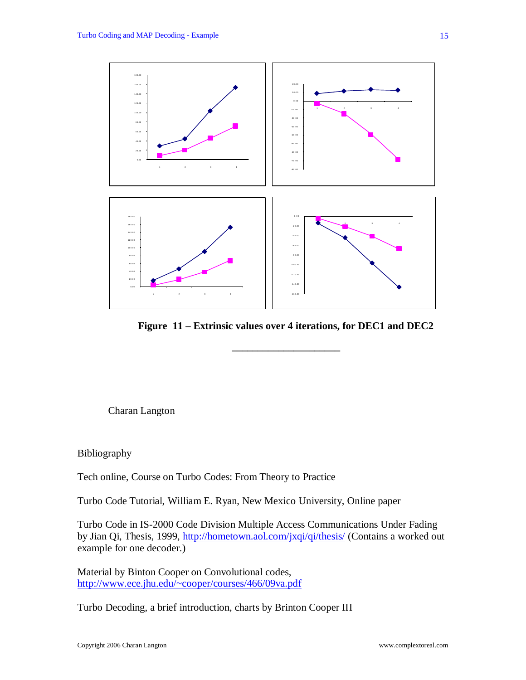

**Figure 11 – Extrinsic values over 4 iterations, for DEC1 and DEC2**

**\_\_\_\_\_\_\_\_\_\_\_\_\_\_\_\_\_\_\_\_\_**

Charan Langton

Bibliography

Tech online, Course on Turbo Codes: From Theory to Practice

Turbo Code Tutorial, William E. Ryan, New Mexico University, Online paper

Turbo Code in IS-2000 Code Division Multiple Access Communications Under Fading by Jian Qi, Thesis, 1999,<http://hometown.aol.com/jxqi/qi/thesis/> (Contains a worked out example for one decoder.)

Material by Binton Cooper on Convolutional codes, <http://www.ece.jhu.edu/~cooper/courses/466/09va.pdf>

Turbo Decoding, a brief introduction, charts by Brinton Cooper III